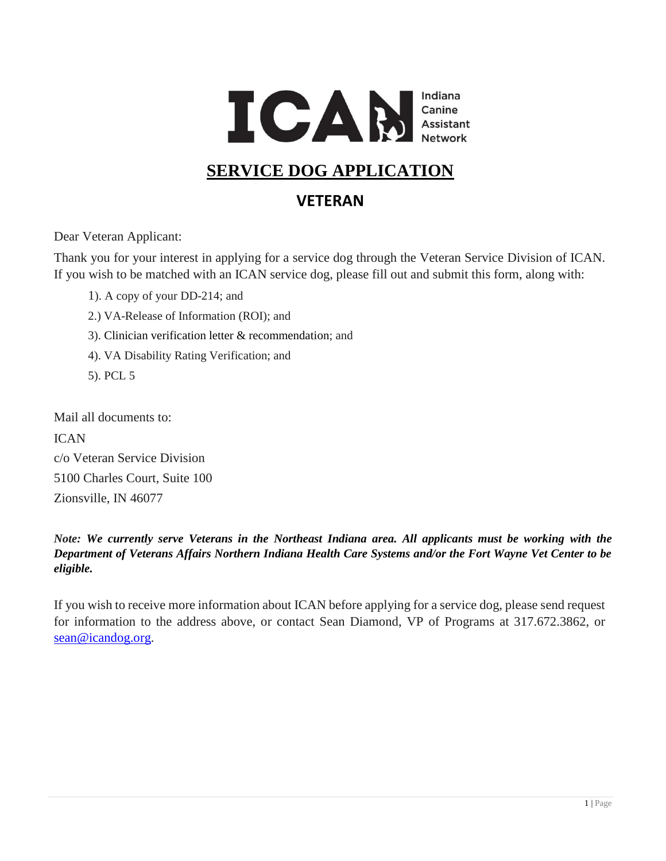

## **SERVICE DOG APPLICATION**

### **VETERAN**

Dear Veteran Applicant:

Thank you for your interest in applying for a service dog through the Veteran Service Division of ICAN. If you wish to be matched with an ICAN service dog, please fill out and submit this form, along with:

- 1). A copy of your DD-214; and
- 2.) VA-Release of Information (ROI); and
- 3). Clinician verification letter & recommendation; and
- 4). VA Disability Rating Verification; and
- 5). PCL 5

Mail all documents to:

ICAN c/o Veteran Service Division 5100 Charles Court, Suite 100 Zionsville, IN 46077

*Note: We currently serve Veterans in the Northeast Indiana area. All applicants must be working with the Department of Veterans Affairs Northern Indiana Health Care Systems and/or the Fort Wayne Vet Center to be eligible.*

If you wish to receive more information about ICAN before applying for a service dog, please send request for information to the address above, or contact Sean Diamond, VP of Programs at 317.672.3862, or [sean@icandog.org.](mailto:sean@icandog.org)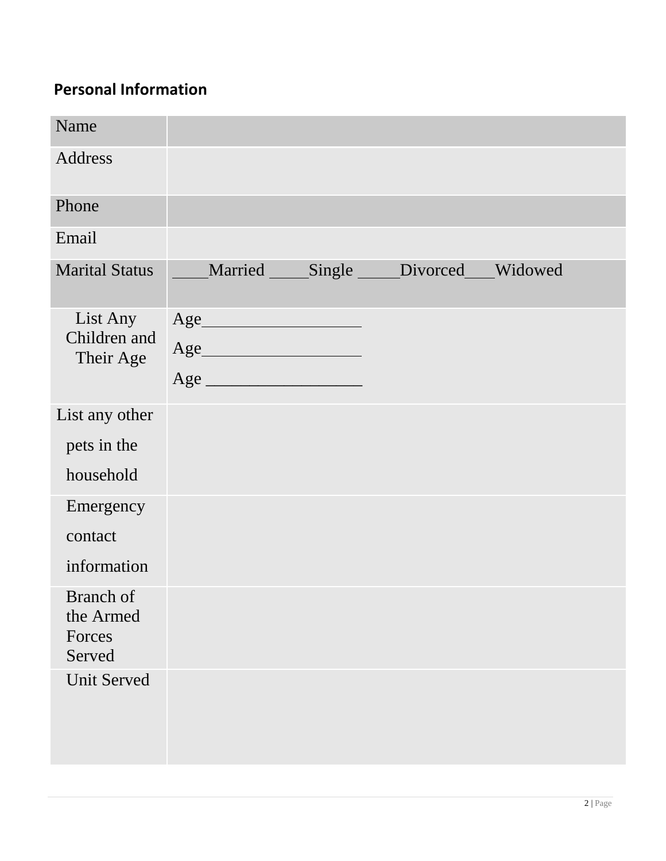# **Personal Information**

| Name                                       |                                                                                                                                                                                                                                                                                                                                                                                              |                                 |  |
|--------------------------------------------|----------------------------------------------------------------------------------------------------------------------------------------------------------------------------------------------------------------------------------------------------------------------------------------------------------------------------------------------------------------------------------------------|---------------------------------|--|
| Address                                    |                                                                                                                                                                                                                                                                                                                                                                                              |                                 |  |
| Phone                                      |                                                                                                                                                                                                                                                                                                                                                                                              |                                 |  |
| Email                                      |                                                                                                                                                                                                                                                                                                                                                                                              |                                 |  |
| <b>Marital Status</b>                      |                                                                                                                                                                                                                                                                                                                                                                                              | Married Single Divorced Widowed |  |
| List Any<br>Children and<br>Their Age      | $\Large \bf Age \underline{\hspace{1cm}} \begin{picture}(10,10) \put(0,0){\dashbox{0.5}(10,0){ }} \put(15,0){\dashbox{0.5}(10,0){ }} \put(15,0){\dashbox{0.5}(10,0){ }} \put(15,0){\dashbox{0.5}(10,0){ }} \put(15,0){\dashbox{0.5}(10,0){ }} \put(15,0){\dashbox{0.5}(10,0){ }} \put(15,0){\dashbox{0.5}(10,0){ }} \put(15,0){\dashbox{0.5}(10,0){ }} \put(15,0){\dashbox{0.5}(10,0$<br>Age |                                 |  |
| List any other                             |                                                                                                                                                                                                                                                                                                                                                                                              |                                 |  |
| pets in the                                |                                                                                                                                                                                                                                                                                                                                                                                              |                                 |  |
| household                                  |                                                                                                                                                                                                                                                                                                                                                                                              |                                 |  |
| Emergency                                  |                                                                                                                                                                                                                                                                                                                                                                                              |                                 |  |
| contact                                    |                                                                                                                                                                                                                                                                                                                                                                                              |                                 |  |
| information                                |                                                                                                                                                                                                                                                                                                                                                                                              |                                 |  |
| Branch of<br>the Armed<br>Forces<br>Served |                                                                                                                                                                                                                                                                                                                                                                                              |                                 |  |
| <b>Unit Served</b>                         |                                                                                                                                                                                                                                                                                                                                                                                              |                                 |  |
|                                            |                                                                                                                                                                                                                                                                                                                                                                                              |                                 |  |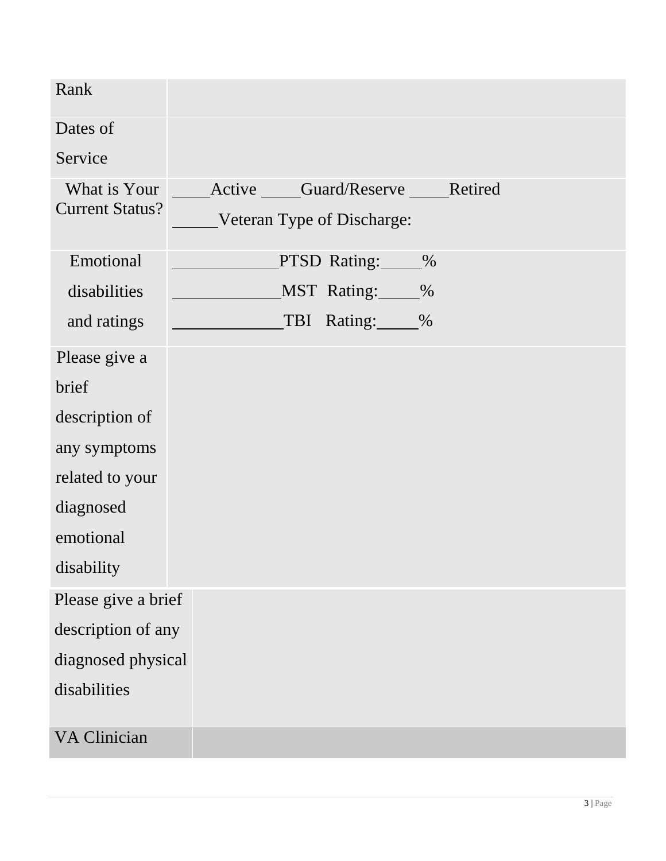| Rank                                   |                                                            |
|----------------------------------------|------------------------------------------------------------|
| Dates of                               |                                                            |
| Service                                |                                                            |
| What is Your<br><b>Current Status?</b> | Active Guard/Reserve Retired<br>Veteran Type of Discharge: |
| Emotional                              | PTSD Rating:<br>$\%$                                       |
| disabilities                           | MST Rating: %                                              |
| and ratings                            | TBI Rating:<br>$\%$                                        |
| Please give a                          |                                                            |
| brief                                  |                                                            |
| description of                         |                                                            |
| any symptoms                           |                                                            |
| related to your                        |                                                            |
| diagnosed                              |                                                            |
| emotional                              |                                                            |
| disability                             |                                                            |
| Please give a brief                    |                                                            |
| description of any                     |                                                            |
| diagnosed physical                     |                                                            |
| disabilities                           |                                                            |
| <b>VA Clinician</b>                    |                                                            |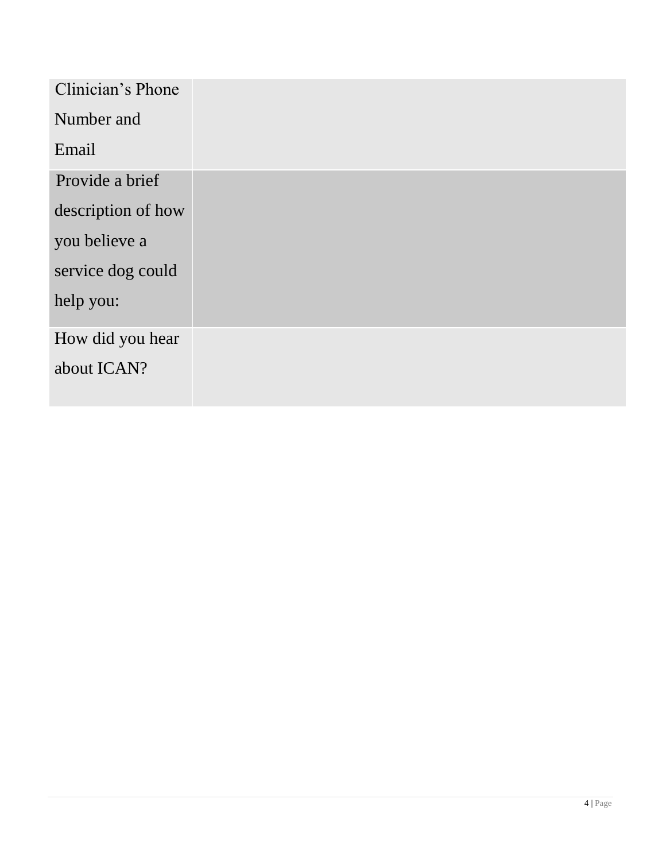| Clinician's Phone  |  |
|--------------------|--|
| Number and         |  |
| Email              |  |
| Provide a brief    |  |
| description of how |  |
| you believe a      |  |
| service dog could  |  |
| help you:          |  |
| How did you hear   |  |
| about ICAN?        |  |
|                    |  |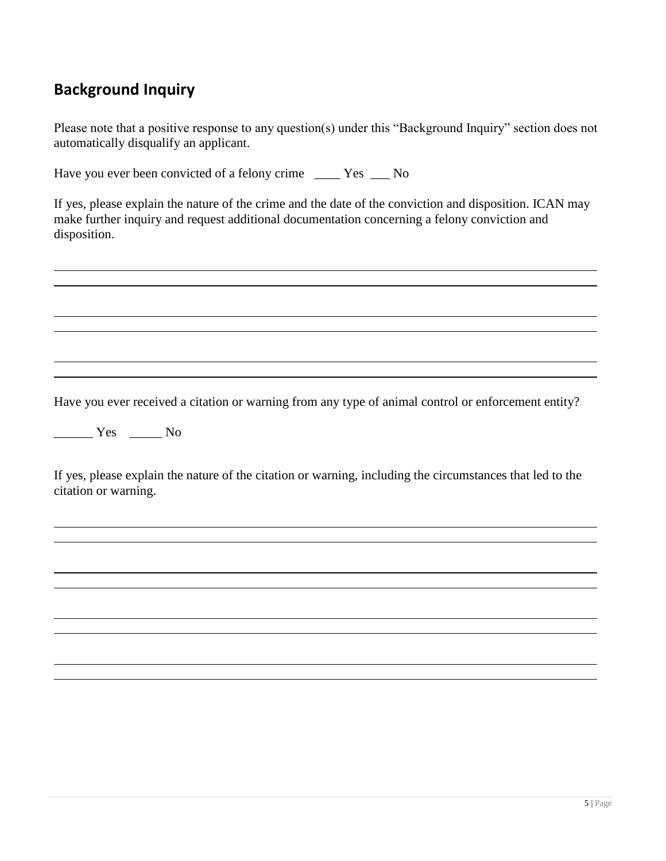### **Background Inquiry**

Please note that a positive response to any question(s) under this "Background Inquiry" section does not automatically disqualify an applicant.

Have you ever been convicted of a felony crime \_\_\_\_\_ Yes \_\_\_\_ No

If yes, please explain the nature of the crime and the date of the conviction and disposition. ICAN may make further inquiry and request additional documentation concerning a felony conviction and disposition.

Have you ever received a citation or warning from any type of animal control or enforcement entity?

\_\_\_\_\_\_ Yes \_\_\_\_\_ No

If yes, please explain the nature of the citation or warning, including the circumstances that led to the citation or warning.